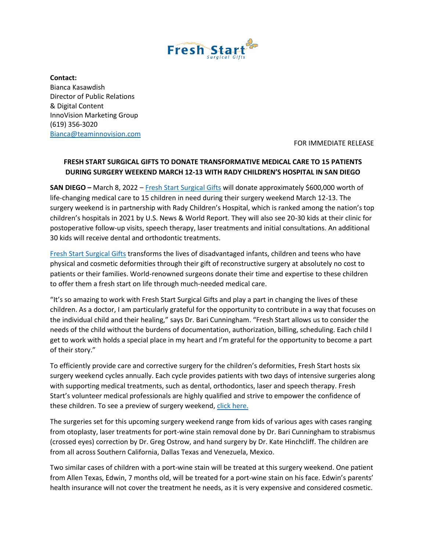

**Contact:**  Bianca Kasawdish Director of Public Relations & Digital Content InnoVision Marketing Group (619) 356-3020 [Bianca@teaminnovision.com](mailto:Bianca@teaminnovision.com)

FOR IMMEDIATE RELEASE

## **FRESH START SURGICAL GIFTS TO DONATE TRANSFORMATIVE MEDICAL CARE TO 15 PATIENTS DURING SURGERY WEEKEND MARCH 12-13 WITH RADY CHILDREN'S HOSPITAL IN SAN DIEGO**

**SAN DIEGO** – March 8, 2022 – [Fresh Start Surgical Gifts](https://www.freshstart.org/) will donate approximately \$600,000 worth of life-changing medical care to 15 children in need during their surgery weekend March 12-13. The surgery weekend is in partnership with Rady Children's Hospital, which is ranked among the nation's top children's hospitals in 2021 by U.S. News & World Report. They will also see 20-30 kids at their clinic for postoperative follow-up visits, speech therapy, laser treatments and initial consultations. An additional 30 kids will receive dental and orthodontic treatments.

[Fresh Start Surgical Gifts](https://www.freshstart.org/) transforms the lives of disadvantaged infants, children and teens who have physical and cosmetic deformities through their gift of reconstructive surgery at absolutely no cost to patients or their families. World-renowned surgeons donate their time and expertise to these children to offer them a fresh start on life through much-needed medical care.

"It's so amazing to work with Fresh Start Surgical Gifts and play a part in changing the lives of these children. As a doctor, I am particularly grateful for the opportunity to contribute in a way that focuses on the individual child and their healing," says Dr. Bari Cunningham. "Fresh Start allows us to consider the needs of the child without the burdens of documentation, authorization, billing, scheduling. Each child I get to work with holds a special place in my heart and I'm grateful for the opportunity to become a part of their story."

To efficiently provide care and corrective surgery for the children's deformities, Fresh Start hosts six surgery weekend cycles annually. Each cycle provides patients with two days of intensive surgeries along with supporting medical treatments, such as dental, orthodontics, laser and speech therapy. Fresh Start's volunteer medical professionals are highly qualified and strive to empower the confidence of these children. To see a preview of surgery weekend, [click here.](https://vimeo.com/518310564/584a5785a0)

The surgeries set for this upcoming surgery weekend range from kids of various ages with cases ranging from otoplasty, laser treatments for port-wine stain removal done by Dr. Bari Cunningham to strabismus (crossed eyes) correction by Dr. Greg Ostrow, and hand surgery by Dr. Kate Hinchcliff. The children are from all across Southern California, Dallas Texas and Venezuela, Mexico.

Two similar cases of children with a port-wine stain will be treated at this surgery weekend. One patient from Allen Texas, Edwin, 7 months old, will be treated for a port-wine stain on his face. Edwin's parents' health insurance will not cover the treatment he needs, as it is very expensive and considered cosmetic.